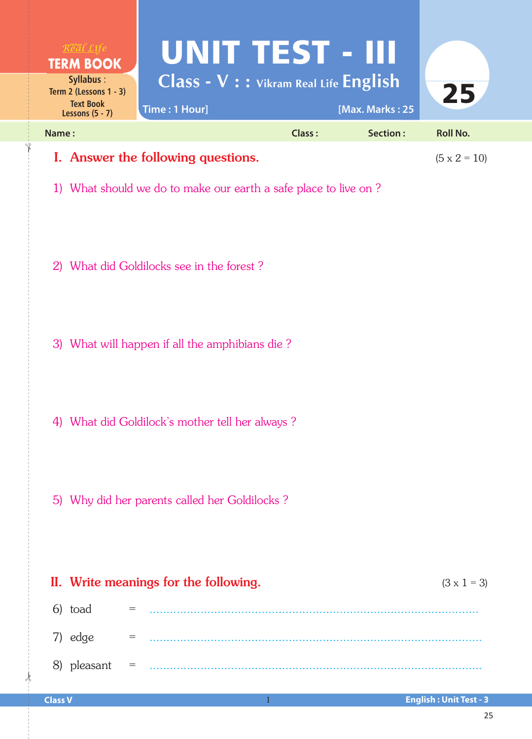| Real Life<br><b>TERM BOOK</b><br>Syllabus:<br>Term 2 (Lessons $1 - 3$ )<br><b>Text Book</b><br>Lessons $(5 - 7)$ | UNITTEST - III<br>Class - V : : Vikram Real Life English<br>Time: 1 Hour] |        | [Max. Marks: 25 | 25              |  |  |
|------------------------------------------------------------------------------------------------------------------|---------------------------------------------------------------------------|--------|-----------------|-----------------|--|--|
| Name:                                                                                                            |                                                                           | Class: | Section:        | <b>Roll No.</b> |  |  |
| I. Answer the following questions.                                                                               | $(5 \times 2 = 10)$                                                       |        |                 |                 |  |  |
| What should we do to make our earth a safe place to live on?                                                     |                                                                           |        |                 |                 |  |  |

- 2) What did Goldilocks see in the forest ?
- 3) What will happen if all the amphibians die ?
- 4) What did Goldilock's mother tell her always ?
- 5) Why did her parents called her Goldilocks ?

| II. Write meanings for the following.                                                                                                                                                                                                                                                                                                                                                                                                                                 |                           |  |  |  |
|-----------------------------------------------------------------------------------------------------------------------------------------------------------------------------------------------------------------------------------------------------------------------------------------------------------------------------------------------------------------------------------------------------------------------------------------------------------------------|---------------------------|--|--|--|
| 6) toad                                                                                                                                                                                                                                                                                                                                                                                                                                                               | $\mathbf{r} = \mathbf{r}$ |  |  |  |
| 7) edge<br>$\label{eq:1} \alpha_{\mu\nu} = \alpha_{\mu\nu} \delta_{\mu\nu} \delta_{\mu\nu} \delta_{\mu\nu} \delta_{\mu\nu} \delta_{\mu\nu} \delta_{\mu\nu} \delta_{\mu\nu} \delta_{\mu\nu} \delta_{\mu\nu} \delta_{\mu\nu} \delta_{\mu\nu} \delta_{\mu\nu} \delta_{\mu\nu} \delta_{\mu\nu} \delta_{\mu\nu} \delta_{\mu\nu} \delta_{\mu\nu} \delta_{\mu\nu} \delta_{\mu\nu} \delta_{\mu\nu} \delta_{\mu\nu} \delta_{\mu\nu} \delta_{\mu\nu} \delta_{\mu\nu} \delta_{\$ |                           |  |  |  |
| $8)$ pleasant =                                                                                                                                                                                                                                                                                                                                                                                                                                                       |                           |  |  |  |

 $\frac{1}{2}$ 

✁